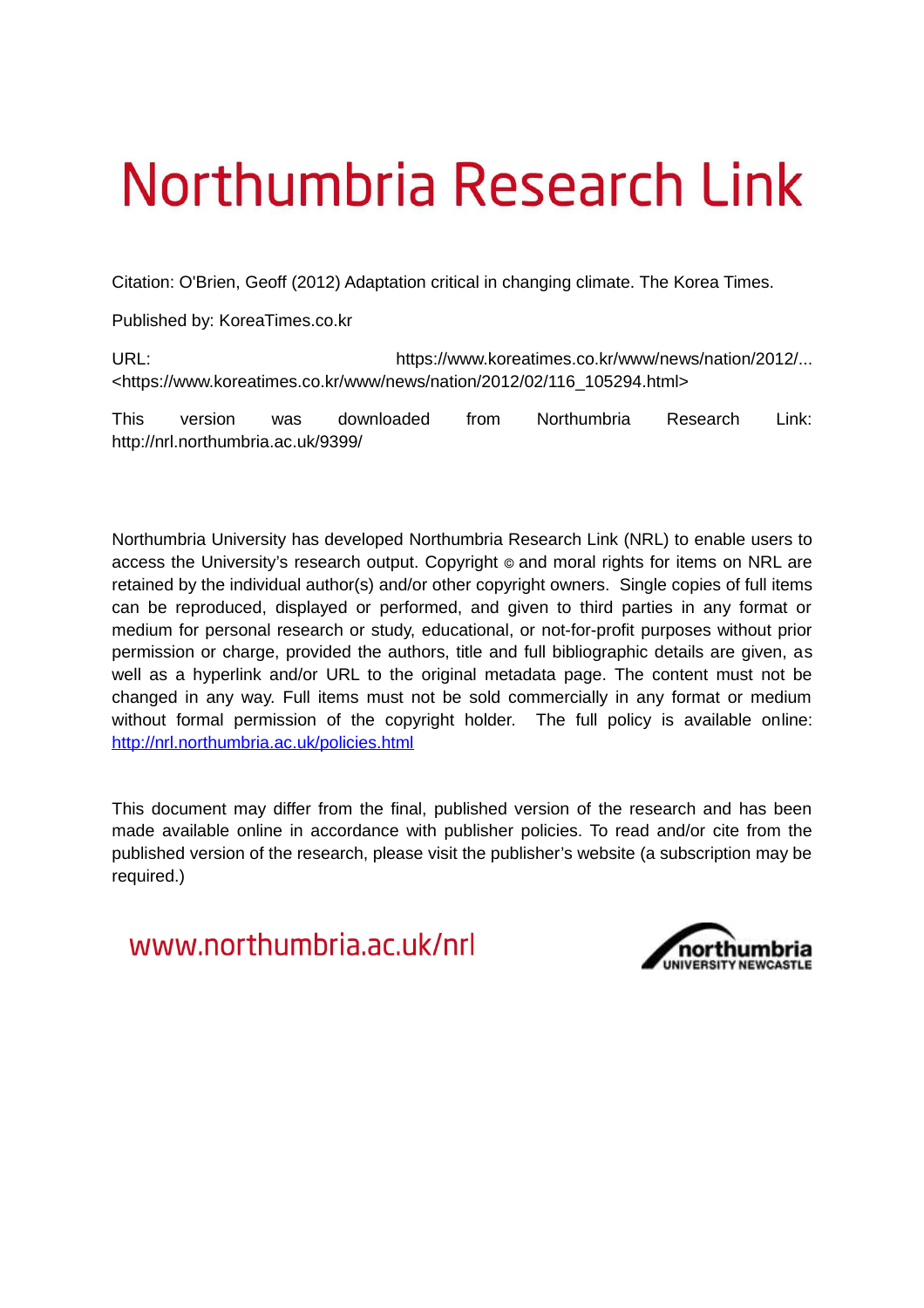# Northumbria Research Link

Citation: O'Brien, Geoff (2012) Adaptation critical in changing climate. The Korea Times.

Published by: KoreaTimes.co.kr

URL: URL: https://www.koreatimes.co.kr/www/news/nation/2012/... <https://www.koreatimes.co.kr/www/news/nation/2012/02/116\_105294.html>

This version was downloaded from Northumbria Research Link: http://nrl.northumbria.ac.uk/9399/

Northumbria University has developed Northumbria Research Link (NRL) to enable users to access the University's research output. Copyright © and moral rights for items on NRL are retained by the individual author(s) and/or other copyright owners. Single copies of full items can be reproduced, displayed or performed, and given to third parties in any format or medium for personal research or study, educational, or not-for-profit purposes without prior permission or charge, provided the authors, title and full bibliographic details are given, as well as a hyperlink and/or URL to the original metadata page. The content must not be changed in any way. Full items must not be sold commercially in any format or medium without formal permission of the copyright holder. The full policy is available online: <http://nrl.northumbria.ac.uk/policies.html>

This document may differ from the final, published version of the research and has been made available online in accordance with publisher policies. To read and/or cite from the published version of the research, please visit the publisher's website (a subscription may be required.)

www.northumbria.ac.uk/nrl

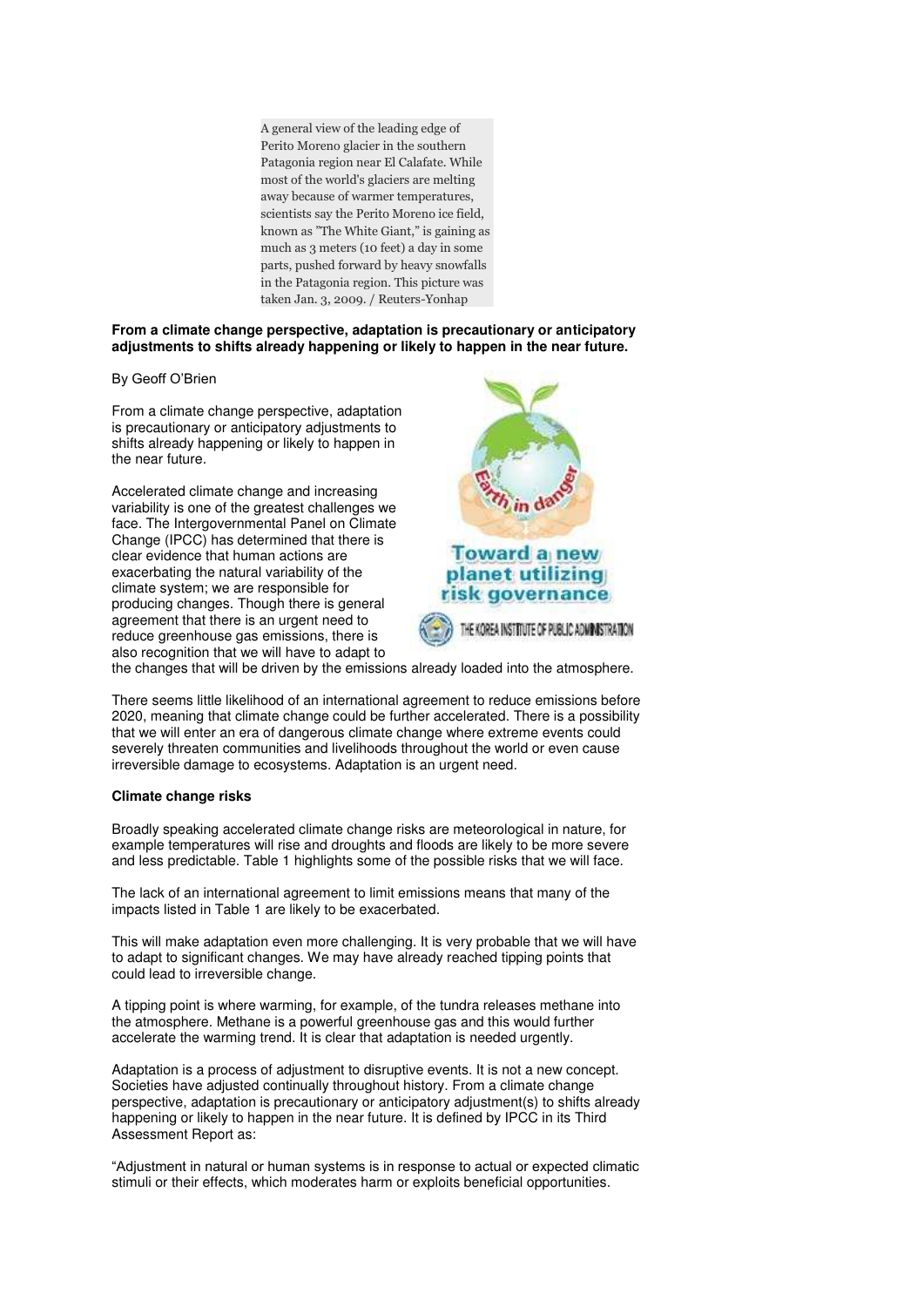A general view of the leading edge of Perito Moreno glacier in the southern Patagonia region near El Calafate. While most of the world's glaciers are melting away because of warmer temperatures, scientists say the Perito Moreno ice field, known as "The White Giant," is gaining as much as 3 meters (10 feet) a day in some parts, pushed forward by heavy snowfalls in the Patagonia region. This picture was taken Jan. 3, 2009. / Reuters-Yonhap

## **From a climate change perspective, adaptation is precautionary or anticipatory adjustments to shifts already happening or likely to happen in the near future.**

By Geoff O'Brien

From a climate change perspective, adaptation is precautionary or anticipatory adjustments to shifts already happening or likely to happen in the near future.

Accelerated climate change and increasing variability is one of the greatest challenges we face. The Intergovernmental Panel on Climate Change (IPCC) has determined that there is clear evidence that human actions are exacerbating the natural variability of the climate system; we are responsible for producing changes. Though there is general agreement that there is an urgent need to reduce greenhouse gas emissions, there is also recognition that we will have to adapt to





the changes that will be driven by the emissions already loaded into the atmosphere.

There seems little likelihood of an international agreement to reduce emissions before 2020, meaning that climate change could be further accelerated. There is a possibility that we will enter an era of dangerous climate change where extreme events could severely threaten communities and livelihoods throughout the world or even cause irreversible damage to ecosystems. Adaptation is an urgent need.

### **Climate change risks**

Broadly speaking accelerated climate change risks are meteorological in nature, for example temperatures will rise and droughts and floods are likely to be more severe and less predictable. Table 1 highlights some of the possible risks that we will face.

The lack of an international agreement to limit emissions means that many of the impacts listed in Table 1 are likely to be exacerbated.

This will make adaptation even more challenging. It is very probable that we will have to adapt to significant changes. We may have already reached tipping points that could lead to irreversible change.

A tipping point is where warming, for example, of the tundra releases methane into the atmosphere. Methane is a powerful greenhouse gas and this would further accelerate the warming trend. It is clear that adaptation is needed urgently.

Adaptation is a process of adjustment to disruptive events. It is not a new concept. Societies have adjusted continually throughout history. From a climate change perspective, adaptation is precautionary or anticipatory adjustment(s) to shifts already happening or likely to happen in the near future. It is defined by IPCC in its Third Assessment Report as:

"Adjustment in natural or human systems is in response to actual or expected climatic stimuli or their effects, which moderates harm or exploits beneficial opportunities.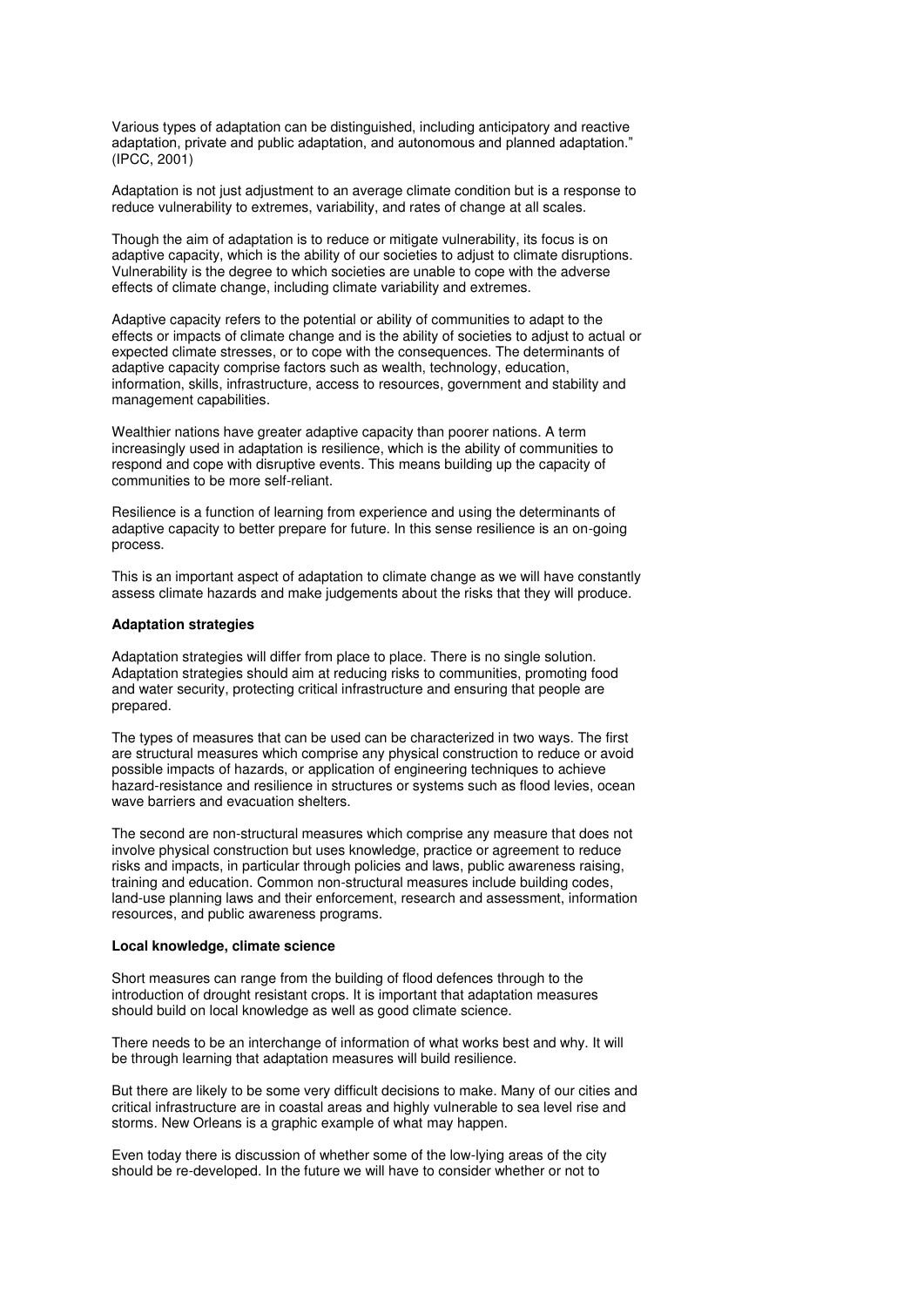Various types of adaptation can be distinguished, including anticipatory and reactive adaptation, private and public adaptation, and autonomous and planned adaptation." (IPCC, 2001)

Adaptation is not just adjustment to an average climate condition but is a response to reduce vulnerability to extremes, variability, and rates of change at all scales.

Though the aim of adaptation is to reduce or mitigate vulnerability, its focus is on adaptive capacity, which is the ability of our societies to adjust to climate disruptions. Vulnerability is the degree to which societies are unable to cope with the adverse effects of climate change, including climate variability and extremes.

Adaptive capacity refers to the potential or ability of communities to adapt to the effects or impacts of climate change and is the ability of societies to adjust to actual or expected climate stresses, or to cope with the consequences. The determinants of adaptive capacity comprise factors such as wealth, technology, education, information, skills, infrastructure, access to resources, government and stability and management capabilities.

Wealthier nations have greater adaptive capacity than poorer nations. A term increasingly used in adaptation is resilience, which is the ability of communities to respond and cope with disruptive events. This means building up the capacity of communities to be more self-reliant.

Resilience is a function of learning from experience and using the determinants of adaptive capacity to better prepare for future. In this sense resilience is an on-going process.

This is an important aspect of adaptation to climate change as we will have constantly assess climate hazards and make judgements about the risks that they will produce.

#### **Adaptation strategies**

Adaptation strategies will differ from place to place. There is no single solution. Adaptation strategies should aim at reducing risks to communities, promoting food and water security, protecting critical infrastructure and ensuring that people are prepared.

The types of measures that can be used can be characterized in two ways. The first are structural measures which comprise any physical construction to reduce or avoid possible impacts of hazards, or application of engineering techniques to achieve hazard-resistance and resilience in structures or systems such as flood levies, ocean wave barriers and evacuation shelters.

The second are non-structural measures which comprise any measure that does not involve physical construction but uses knowledge, practice or agreement to reduce risks and impacts, in particular through policies and laws, public awareness raising, training and education. Common non-structural measures include building codes, land-use planning laws and their enforcement, research and assessment, information resources, and public awareness programs.

#### **Local knowledge, climate science**

Short measures can range from the building of flood defences through to the introduction of drought resistant crops. It is important that adaptation measures should build on local knowledge as well as good climate science.

There needs to be an interchange of information of what works best and why. It will be through learning that adaptation measures will build resilience.

But there are likely to be some very difficult decisions to make. Many of our cities and critical infrastructure are in coastal areas and highly vulnerable to sea level rise and storms. New Orleans is a graphic example of what may happen.

Even today there is discussion of whether some of the low-lying areas of the city should be re-developed. In the future we will have to consider whether or not to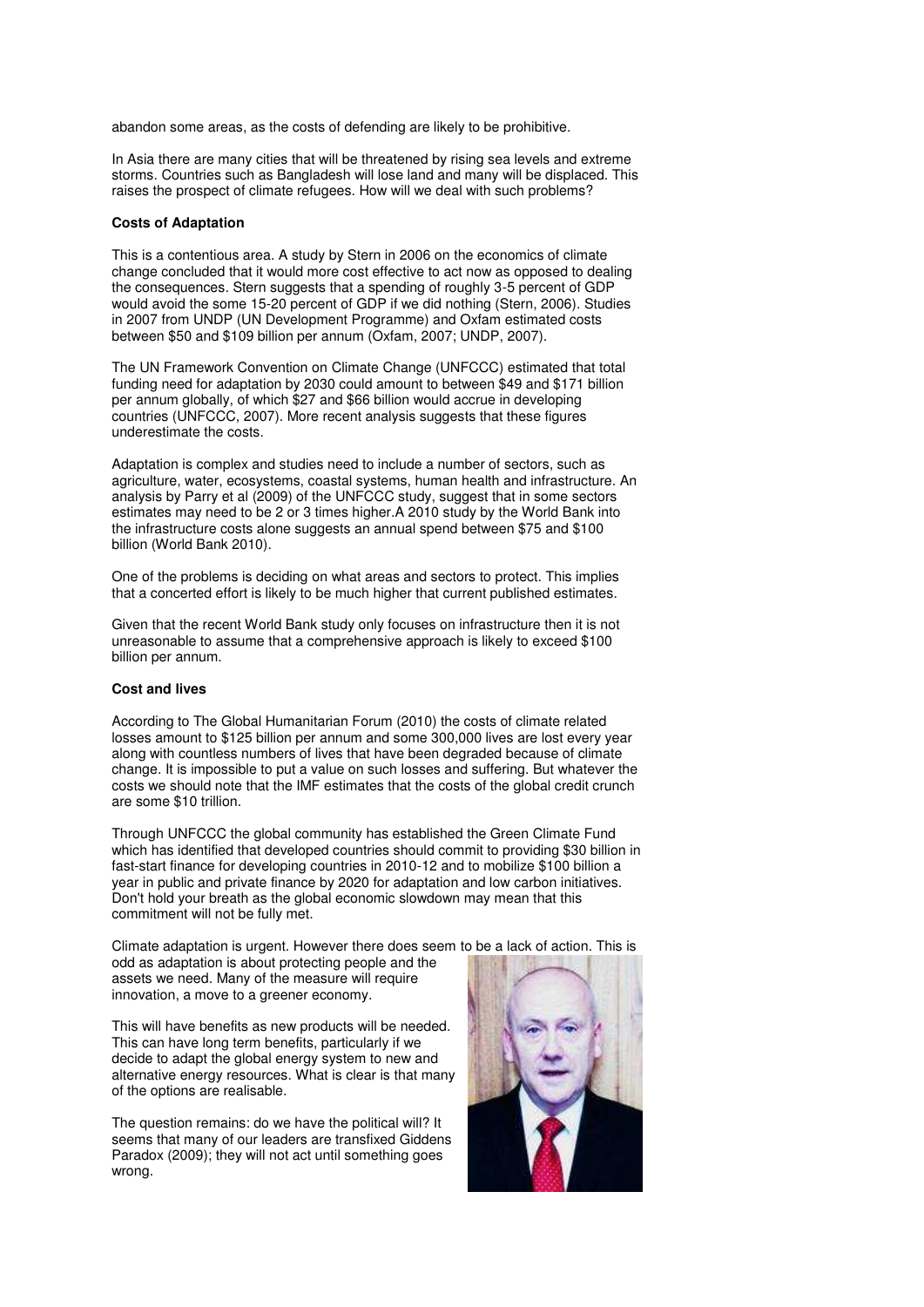abandon some areas, as the costs of defending are likely to be prohibitive.

In Asia there are many cities that will be threatened by rising sea levels and extreme storms. Countries such as Bangladesh will lose land and many will be displaced. This raises the prospect of climate refugees. How will we deal with such problems?

#### **Costs of Adaptation**

This is a contentious area. A study by Stern in 2006 on the economics of climate change concluded that it would more cost effective to act now as opposed to dealing the consequences. Stern suggests that a spending of roughly 3-5 percent of GDP would avoid the some 15-20 percent of GDP if we did nothing (Stern, 2006). Studies in 2007 from UNDP (UN Development Programme) and Oxfam estimated costs between \$50 and \$109 billion per annum (Oxfam, 2007; UNDP, 2007).

The UN Framework Convention on Climate Change (UNFCCC) estimated that total funding need for adaptation by 2030 could amount to between \$49 and \$171 billion per annum globally, of which \$27 and \$66 billion would accrue in developing countries (UNFCCC, 2007). More recent analysis suggests that these figures underestimate the costs.

Adaptation is complex and studies need to include a number of sectors, such as agriculture, water, ecosystems, coastal systems, human health and infrastructure. An analysis by Parry et al (2009) of the UNFCCC study, suggest that in some sectors estimates may need to be 2 or 3 times higher.A 2010 study by the World Bank into the infrastructure costs alone suggests an annual spend between \$75 and \$100 billion (World Bank 2010).

One of the problems is deciding on what areas and sectors to protect. This implies that a concerted effort is likely to be much higher that current published estimates.

Given that the recent World Bank study only focuses on infrastructure then it is not unreasonable to assume that a comprehensive approach is likely to exceed \$100 billion per annum.

# **Cost and lives**

According to The Global Humanitarian Forum (2010) the costs of climate related losses amount to \$125 billion per annum and some 300,000 lives are lost every year along with countless numbers of lives that have been degraded because of climate change. It is impossible to put a value on such losses and suffering. But whatever the costs we should note that the IMF estimates that the costs of the global credit crunch are some \$10 trillion.

Through UNFCCC the global community has established the Green Climate Fund which has identified that developed countries should commit to providing \$30 billion in fast-start finance for developing countries in 2010-12 and to mobilize \$100 billion a year in public and private finance by 2020 for adaptation and low carbon initiatives. Don't hold your breath as the global economic slowdown may mean that this commitment will not be fully met.

Climate adaptation is urgent. However there does seem to be a lack of action. This is odd as adaptation is about protecting people and the assets we need. Many of the measure will require innovation, a move to a greener economy.

This will have benefits as new products will be needed. This can have long term benefits, particularly if we decide to adapt the global energy system to new and alternative energy resources. What is clear is that many of the options are realisable.

The question remains: do we have the political will? It seems that many of our leaders are transfixed Giddens Paradox (2009); they will not act until something goes wrong.